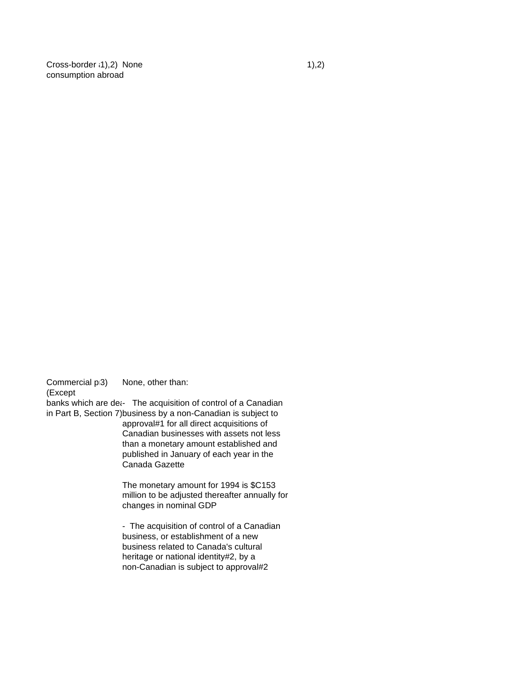$Cross-border (1),2)$  None  $1)$ ,2) consumption abroad

Commercial  $p_3$  None, other than:

# (Except

banks which are det- The acquisition of control of a Canadian in Part B, Section 7)business by a non-Canadian is subject to

approval#1 for all direct acquisitions of Canadian businesses with assets not less than a monetary amount established and published in January of each year in the Canada Gazette

The monetary amount for 1994 is \$C153 million to be adjusted thereafter annually for changes in nominal GDP

- The acquisition of control of a Canadian business, or establishment of a new business related to Canada's cultural heritage or national identity#2, by a non-Canadian is subject to approval#2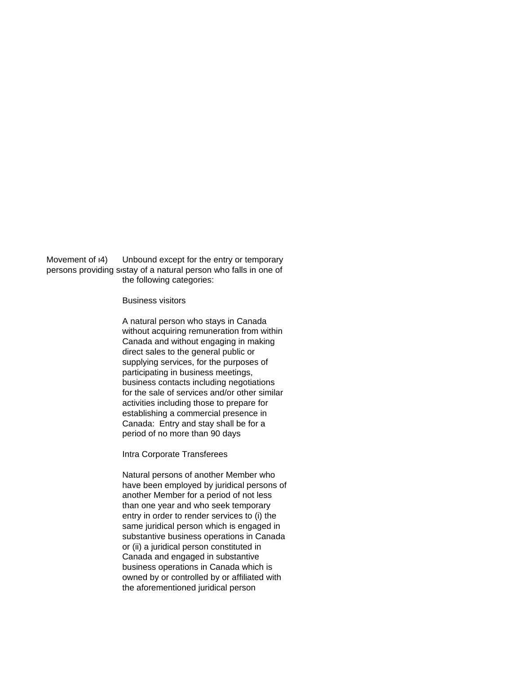Movement of  $\vert 4$ ) Unbound except for the entry or temporary persons providing sistay of a natural person who falls in one of the following categories:

## Business visitors

A natural person who stays in Canada without acquiring remuneration from within Canada and without engaging in making direct sales to the general public or supplying services, for the purposes of participating in business meetings, business contacts including negotiations for the sale of services and/or other similar activities including those to prepare for establishing a commercial presence in Canada: Entry and stay shall be for a period of no more than 90 days

Intra Corporate Transferees

Natural persons of another Member who have been employed by juridical persons of another Member for a period of not less than one year and who seek temporary entry in order to render services to (i) the same juridical person which is engaged in substantive business operations in Canada or (ii) a juridical person constituted in Canada and engaged in substantive business operations in Canada which is owned by or controlled by or affiliated with the aforementioned juridical person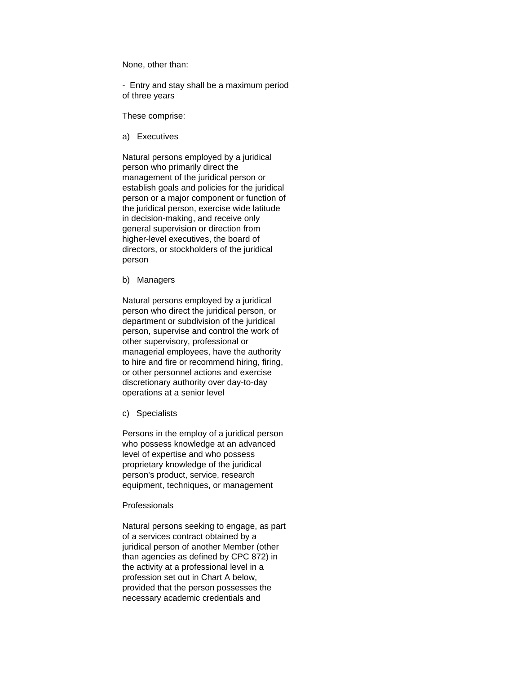None, other than:

- Entry and stay shall be a maximum period of three years

These comprise:

a) Executives

Natural persons employed by a juridical person who primarily direct the management of the juridical person or establish goals and policies for the juridical person or a major component or function of the juridical person, exercise wide latitude in decision-making, and receive only general supervision or direction from higher-level executives, the board of directors, or stockholders of the juridical person

b) Managers

Natural persons employed by a juridical person who direct the juridical person, or department or subdivision of the juridical person, supervise and control the work of other supervisory, professional or managerial employees, have the authority to hire and fire or recommend hiring, firing, or other personnel actions and exercise discretionary authority over day-to-day operations at a senior level

c) Specialists

Persons in the employ of a juridical person who possess knowledge at an advanced level of expertise and who possess proprietary knowledge of the juridical person's product, service, research equipment, techniques, or management

### Professionals

Natural persons seeking to engage, as part of a services contract obtained by a juridical person of another Member (other than agencies as defined by CPC 872) in the activity at a professional level in a profession set out in Chart A below, provided that the person possesses the necessary academic credentials and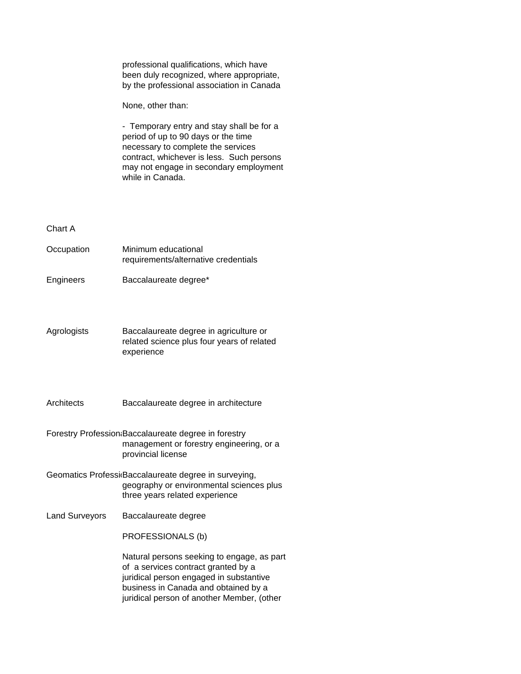professional qualifications, which have been duly recognized, where appropriate, by the professional association in Canada

None, other than:

- Temporary entry and stay shall be for a period of up to 90 days or the time necessary to complete the services contract, whichever is less. Such persons may not engage in secondary employment while in Canada.

#### Chart A

| Occupation  | Minimum educational<br>requirements/alternative credentials                          |
|-------------|--------------------------------------------------------------------------------------|
| Engineers   | Baccalaureate degree*                                                                |
| Agrologists | Baccalaureate degree in agriculture or<br>related science plus four years of related |

Architects Baccalaureate degree in architecture

experience

Forestry Profession Baccalaureate degree in forestry management or forestry engineering, or a provincial license

- Geomatics ProfessidBaccalaureate degree in surveying, geography or environmental sciences plus three years related experience
- Land Surveyors Baccalaureate degree

PROFESSIONALS (b)

Natural persons seeking to engage, as part of a services contract granted by a juridical person engaged in substantive business in Canada and obtained by a juridical person of another Member, (other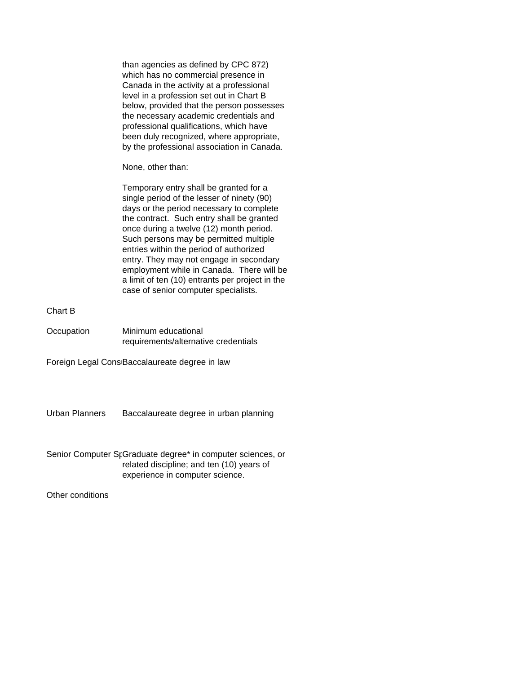than agencies as defined by CPC 872) which has no commercial presence in Canada in the activity at a professional level in a profession set out in Chart B below, provided that the person possesses the necessary academic credentials and professional qualifications, which have been duly recognized, where appropriate, by the professional association in Canada.

None, other than:

Temporary entry shall be granted for a single period of the lesser of ninety (90) days or the period necessary to complete the contract. Such entry shall be granted once during a twelve (12) month period. Such persons may be permitted multiple entries within the period of authorized entry. They may not engage in secondary employment while in Canada. There will be a limit of ten (10) entrants per project in the case of senior computer specialists.

### Chart B

Occupation Minimum educational requirements/alternative credentials

Foreign Legal Cons<sub>Baccalaureate</sub> degree in law

Urban Planners Baccalaureate degree in urban planning

Senior Computer SrGraduate degree\* in computer sciences, or related discipline; and ten (10) years of experience in computer science.

Other conditions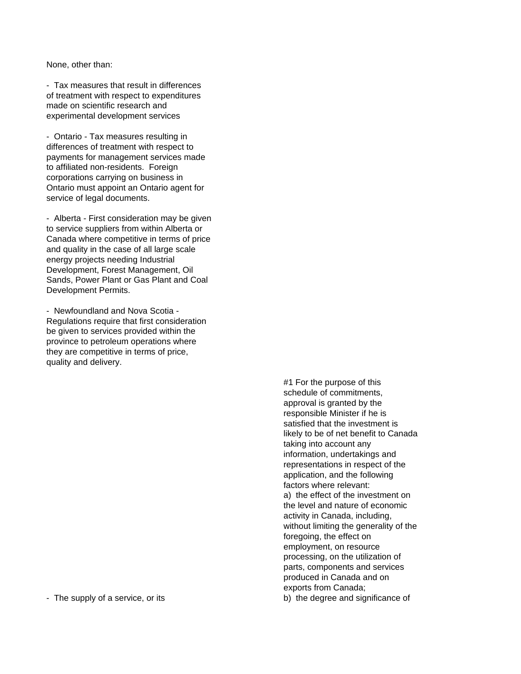None, other than:

- Tax measures that result in differences of treatment with respect to expenditures made on scientific research and experimental development services

- Ontario - Tax measures resulting in differences of treatment with respect to payments for management services made to affiliated non-residents. Foreign corporations carrying on business in Ontario must appoint an Ontario agent for service of legal documents.

- Alberta - First consideration may be given to service suppliers from within Alberta or Canada where competitive in terms of price and quality in the case of all large scale energy projects needing Industrial Development, Forest Management, Oil Sands, Power Plant or Gas Plant and Coal Development Permits.

- Newfoundland and Nova Scotia - Regulations require that first consideration be given to services provided within the province to petroleum operations where they are competitive in terms of price, quality and delivery.

#1 For the purpose of this schedule of commitments, approval is granted by the responsible Minister if he is satisfied that the investment is likely to be of net benefit to Canada taking into account any information, undertakings and representations in respect of the application, and the following factors where relevant: a) the effect of the investment on the level and nature of economic activity in Canada, including, without limiting the generality of the foregoing, the effect on employment, on resource processing, on the utilization of parts, components and services produced in Canada and on exports from Canada; - The supply of a service, or its b) the degree and significance of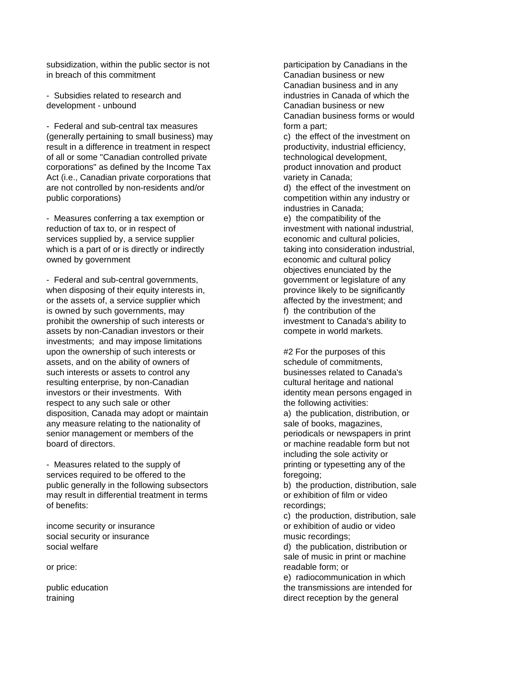subsidization, within the public sector is not participation by Canadians in the in breach of this commitment **Canadian** business or new

- Subsidies related to research and industries in Canada of which the development - unbound Canadian business or new

- Federal and sub-central tax measures form a part; (generally pertaining to small business) may c) the effect of the investment on result in a difference in treatment in respect productivity, industrial efficiency, of all or some "Canadian controlled private the state of all or some "Canadian controlled private" by the technological development, corporations" as defined by the Income Tax product innovation and product Act (i.e., Canadian private corporations that variety in Canada; are not controlled by non-residents and/or d) the effect of the investment on public corporations) competition within any industry or

- Measures conferring a tax exemption or e) the compatibility of the reduction of tax to, or in respect of investment with national industrial, services supplied by, a service supplier example and cultural policies, which is a part of or is directly or indirectly taking into consideration industrial, owned by government example and cultural policy economic and cultural policy

- Federal and sub-central governments, example and sub-central government or legislature of any when disposing of their equity interests in, province likely to be significantly or the assets of, a service supplier which a service supplier  $\alpha$  affected by the investment; and is owned by such governments, may f) the contribution of the prohibit the ownership of such interests or investment to Canada's ability to assets by non-Canadian investors or their example of compete in world markets. investments; and may impose limitations upon the ownership of such interests or  $#2$  For the purposes of this assets, and on the ability of owners of schedule of commitments, such interests or assets to control any **businesses related to Canada's** resulting enterprise, by non-Canadian cultural heritage and national investors or their investments. With interest in the identity mean persons engaged in respect to any such sale or other the following activities: disposition, Canada may adopt or maintain a) the publication, distribution, or any measure relating to the nationality of sale of books, magazines, senior management or members of the periodicals or newspapers in print board of directors. or machine readable form but not

- Measures related to the supply of printing or typesetting any of the services required to be offered to the foregoing; public generally in the following subsectors b) the production, distribution, sale may result in differential treatment in terms or exhibition of film or video of benefits: recordings;

social security or insurance music recordings;

Canadian business and in any Canadian business forms or would

industries in Canada;

objectives enunciated by the

including the sole activity or

c) the production, distribution, sale income security or insurance **or exhibition** of audio or video

social welfare density and the publication, distribution or density of the publication, distribution or sale of music in print or machine or price: The contract of price: The contract of prices and price of prices and price  $r = r$  and  $r = r$  and  $r = r$  and  $r = r$  and  $r = r$  and  $r = r$  and  $r = r$  and  $r = r$  and  $r = r$  and  $r = r$  and  $r = r$  and  $r = r$  and  $r = r$  and  $r = r$ 

 e) radiocommunication in which public education the transmissions are intended for the transmissions are intended for training training training training the series of the general states of the general states of the general states of the general states of the general states of the general states of the general states of the general states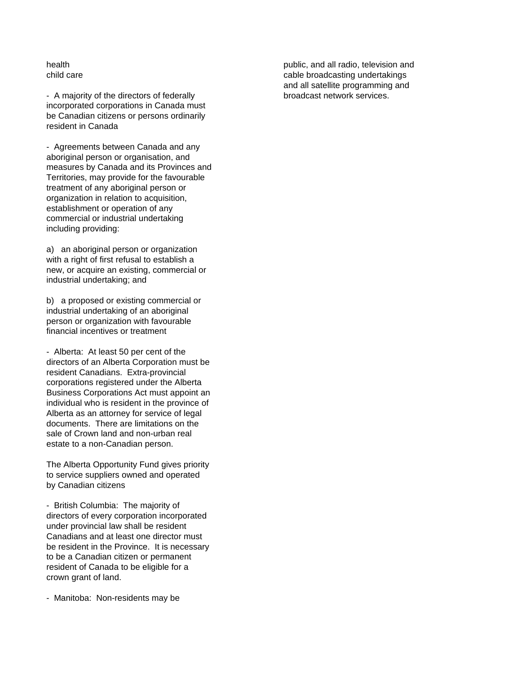- A majority of the directors of federally broadcast network services. incorporated corporations in Canada must be Canadian citizens or persons ordinarily resident in Canada

- Agreements between Canada and any aboriginal person or organisation, and measures by Canada and its Provinces and Territories, may provide for the favourable treatment of any aboriginal person or organization in relation to acquisition, establishment or operation of any commercial or industrial undertaking including providing:

a) an aboriginal person or organization with a right of first refusal to establish a new, or acquire an existing, commercial or industrial undertaking; and

b) a proposed or existing commercial or industrial undertaking of an aboriginal person or organization with favourable financial incentives or treatment

- Alberta: At least 50 per cent of the directors of an Alberta Corporation must be resident Canadians. Extra-provincial corporations registered under the Alberta Business Corporations Act must appoint an individual who is resident in the province of Alberta as an attorney for service of legal documents. There are limitations on the sale of Crown land and non-urban real estate to a non-Canadian person.

The Alberta Opportunity Fund gives priority to service suppliers owned and operated by Canadian citizens

- British Columbia: The majority of directors of every corporation incorporated under provincial law shall be resident Canadians and at least one director must be resident in the Province. It is necessary to be a Canadian citizen or permanent resident of Canada to be eligible for a crown grant of land.

- Manitoba: Non-residents may be

health public, and all radio, television and child care child care cable broadcasting undertakings and all satellite programming and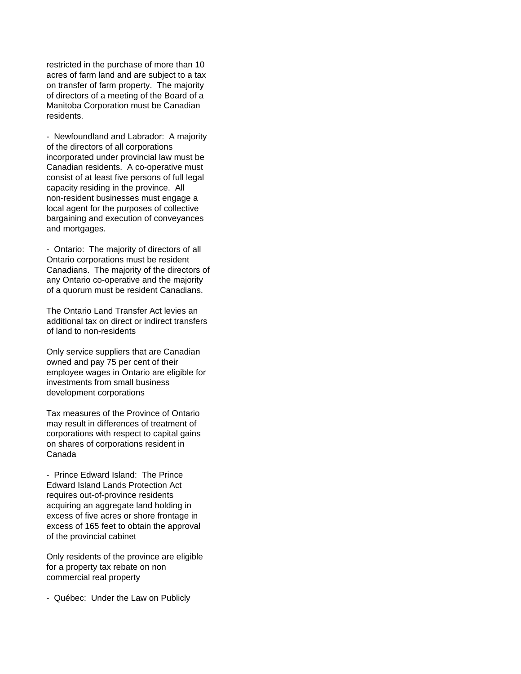restricted in the purchase of more than 10 acres of farm land and are subject to a tax on transfer of farm property. The majority of directors of a meeting of the Board of a Manitoba Corporation must be Canadian residents.

- Newfoundland and Labrador: A majority of the directors of all corporations incorporated under provincial law must be Canadian residents. A co-operative must consist of at least five persons of full legal capacity residing in the province. All non-resident businesses must engage a local agent for the purposes of collective bargaining and execution of conveyances and mortgages.

- Ontario: The majority of directors of all Ontario corporations must be resident Canadians. The majority of the directors of any Ontario co-operative and the majority of a quorum must be resident Canadians.

The Ontario Land Transfer Act levies an additional tax on direct or indirect transfers of land to non-residents

Only service suppliers that are Canadian owned and pay 75 per cent of their employee wages in Ontario are eligible for investments from small business development corporations

Tax measures of the Province of Ontario may result in differences of treatment of corporations with respect to capital gains on shares of corporations resident in Canada

- Prince Edward Island: The Prince Edward Island Lands Protection Act requires out-of-province residents acquiring an aggregate land holding in excess of five acres or shore frontage in excess of 165 feet to obtain the approval of the provincial cabinet

Only residents of the province are eligible for a property tax rebate on non commercial real property

- Québec: Under the Law on Publicly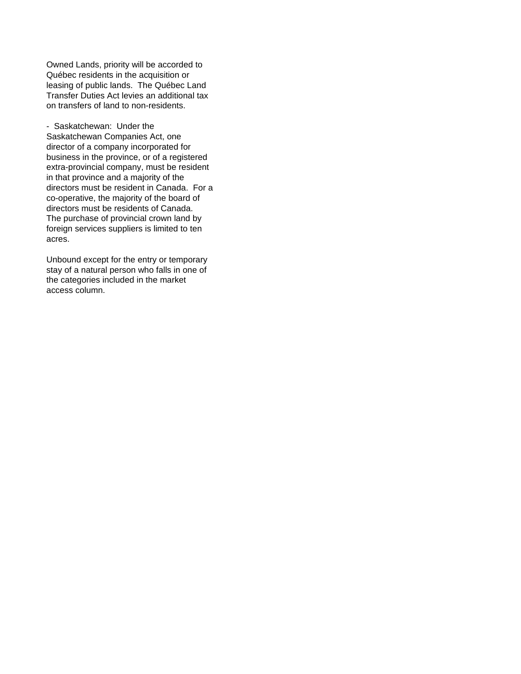Owned Lands, priority will be accorded to Québec residents in the acquisition or leasing of public lands. The Québec Land Transfer Duties Act levies an additional tax on transfers of land to non-residents.

- Saskatchewan: Under the Saskatchewan Companies Act, one director of a company incorporated for business in the province, or of a registered extra-provincial company, must be resident in that province and a majority of the directors must be resident in Canada. For a co-operative, the majority of the board of directors must be residents of Canada. The purchase of provincial crown land by foreign services suppliers is limited to ten acres.

Unbound except for the entry or temporary stay of a natural person who falls in one of the categories included in the market access column.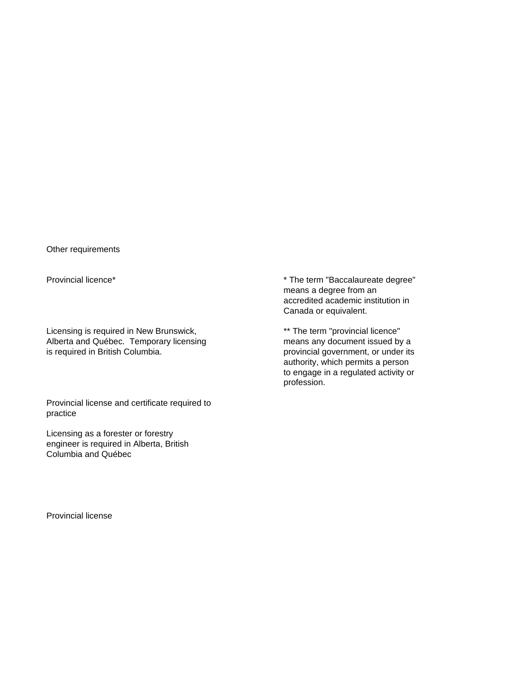Other requirements

Licensing is required in New Brunswick,  $*$  The term "provincial licence" Alberta and Québec. Temporary licensing means any document issued by a<br>is required in British Columbia. The analysis of provincial government, or under its

Provincial license and certificate required to practice

Licensing as a forester or forestry engineer is required in Alberta, British Columbia and Québec

Provincial licence\* The term "Baccalaureate degree" means a degree from an accredited academic institution in Canada or equivalent.

> provincial government, or under its authority, which permits a person to engage in a regulated activity or profession.

Provincial license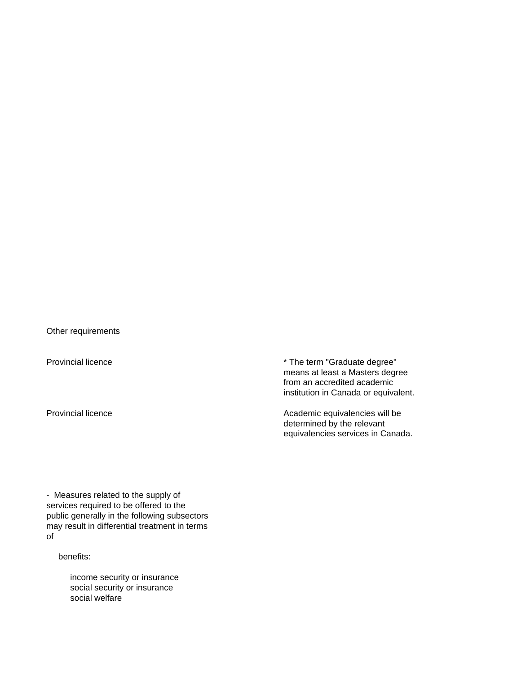Other requirements

Provincial licence **\*** The term "Graduate degree" means at least a Masters degree from an accredited academic institution in Canada or equivalent.

Provincial licence **Academic equivalencies will be** Academic equivalencies will be determined by the relevant equivalencies services in Canada.

- Measures related to the supply of services required to be offered to the public generally in the following subsectors may result in differential treatment in terms of

benefits:

 income security or insurance social security or insurance social welfare